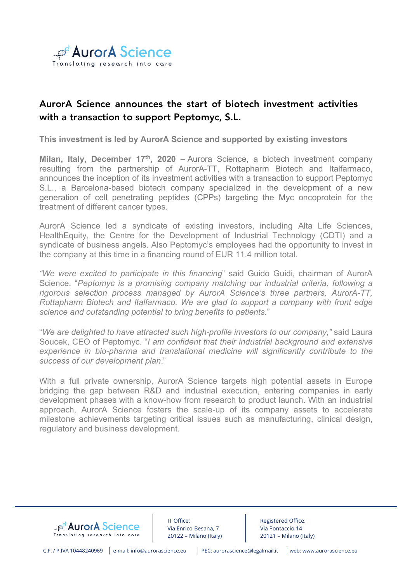

# AurorA Science announces the start of biotech investment activities with a transaction to support Peptomyc, S.L.

**This investment is led by AurorA Science and supported by existing investors**

**Milan, Italy, December 17<sup>th</sup>, 2020** – Aurora Science, a biotech investment company resulting from the partnership of AurorA-TT, Rottapharm Biotech and Italfarmaco, announces the inception of its investment activities with a transaction to support Peptomyc S.L., a Barcelona-based biotech company specialized in the development of a new generation of cell penetrating peptides (CPPs) targeting the Myc oncoprotein for the treatment of different cancer types.

AurorA Science led a syndicate of existing investors, including Alta Life Sciences, HealthEquity, the Centre for the Development of Industrial Technology (CDTI) and a syndicate of business angels. Also Peptomyc's employees had the opportunity to invest in the company at this time in a financing round of EUR 11.4 million total.

*"We were excited to participate in this financing*" said Guido Guidi, chairman of AurorA Science. "*Peptomyc is a promising company matching our industrial criteria, following a rigorous selection process managed by AurorA Science's three partners, AurorA-TT, Rottapharm Biotech and Italfarmaco. We are glad to support a company with front edge science and outstanding potential to bring benefits to patients.*"

"*We are delighted to have attracted such high-profile investors to our company,"* said Laura Soucek, CEO of Peptomyc. "*I am confident that their industrial background and extensive experience in bio-pharma and translational medicine will significantly contribute to the success of our development plan*."

With a full private ownership, AurorA Science targets high potential assets in Europe bridging the gap between R&D and industrial execution, entering companies in early development phases with a know-how from research to product launch. With an industrial approach, AurorA Science fosters the scale-up of its company assets to accelerate milestone achievements targeting critical issues such as manufacturing, clinical design, regulatory and business development.



IT Office: Via Enrico Besana, 7 20122 – Milano (Italy)

Registered Office: Via Pontaccio 14 20121 – Milano (Italy)